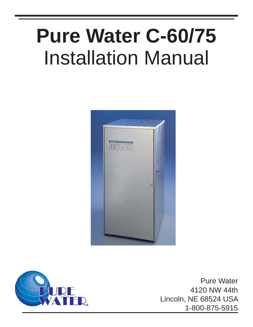# Installation Manual **Pure Water C-60/75**





Pure Water 4120 NW 44th Lincoln, NE 68524 USA 1-800-875-5915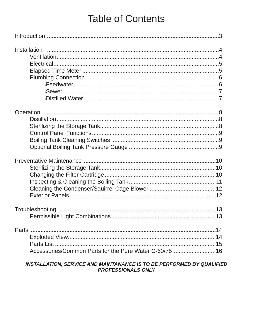# **Table of Contents**

| <b>Parts</b><br>Accessories/Common Parts for the Pure Water C-60/7516 |  |
|-----------------------------------------------------------------------|--|

#### INSTALLATION, SERVICE AND MAINTANANCE IS TO BE PERFORMED BY QUALIFIED PROFESSIONALS ONLY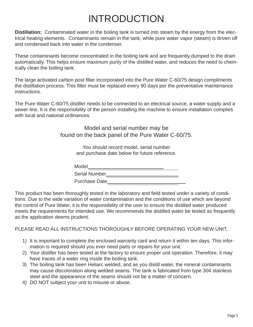# INTRODUCTION

**Distillation:** Contaminated water in the boiling tank is turned into steam by the energy from the electrical heating elements. Contaminants remain in the tank, while pure water vapor (steam) is driven off and condensed back into water in the condenser.

These contaminants become concentrated in the boiling tank and are frequently dumped to the drain automatically. This helps ensure maximum purity of the distilled water, and reduces the need to chemically clean the boiling tank.

The large activated carbon post filter incorporated into the Pure Water C-60/75 design compliments the distillation process. This filter must be replaced every 90 days per the preventative maintenance instructions.

The Pure Water C-60/75 distiller needs to be connected to an electrical source, a water supply and a sewer line. It is the responsibility of the person installing the machine to ensure installation complies with local and national ordinances.

> Model and serial number may be found on the back panel of the Pure Water C-60/75.

> > You should record model, serial number and purchase date below for future reference.

| Model                |  |
|----------------------|--|
| <b>Serial Number</b> |  |
| <b>Purchase Date</b> |  |

This product has been thoroughly tested in the laboratory and field tested under a variety of conditions. Due to the wide variation of water contamination and the conditions of use which are beyond the control of Pure Water, it is the responsibility of the user to ensure the distilled water produced meets the requirements for intended use. We recommends the distilled water be tested as frequently as the application deems prudent.

PLEASE READ ALL INSTRUCTIONS THOROUGHLY BEFORE OPERATING YOUR NEW UNIT.

- 1) It is important to complete the enclosed warranty card and return it within ten days. This information is required should you ever need parts or repairs for your unit.
- 2) Your distiller has been tested at the factory to ensure proper unit operation. Therefore, it may have traces of a water ring inside the boiling tank.
- 3) The boiling tank has been Heliarc welded, and as you distill water, the mineral contaminants may cause discoloration along welded seams. The tank is fabricated from type 304 stainless steel and the appearance of the seams should not be a matter of concern.
- 4) DO NOT subject your unit to misuse or abuse.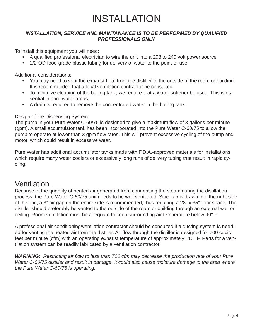# INSTALLATION

#### **INSTALLATION, SERVICE AND MAINTANANCE IS TO BE PERFORMED BY QUALIFIED** *PROFESSIONALS ONLY*

To install this equipment you will need:

- A qualified professional electrician to wire the unit into a 208 to 240 volt power source.
- 1/2"OD food-grade plastic tubing for delivery of water to the point-of-use.

Additional considerations:

- You may need to vent the exhaust heat from the distiller to the outside of the room or building. It is recommended that a local ventilation contractor be consulted.
- To minimize cleaning of the boiling tank, we require that a water softener be used. This is essential in hard water areas.
- A drain is required to remove the concentrated water in the boiling tank.

#### Design of the Dispensing System:

The pump in your Pure Water C-60/75 is designed to give a maximum flow of 3 gallons per minute (gpm). A small accumulator tank has been incorporated into the Pure Water C-60/75 to allow the pump to operate at lower than 3 gpm flow rates. This will prevent excessive cycling of the pump and motor, which could result in excessive wear.

Pure Water has additional accumulator tanks made with F.D.A.-approved materials for installations which require many water coolers or excessively long runs of delivery tubing that result in rapid cycling.

### Ventilation . . .

Because of the quantity of heated air generated from condensing the steam during the distillation process, the Pure Water C-60/75 unit needs to be well ventilated. Since air is drawn into the right side of the unit, a 3" air gap on the entire side is recommended, thus requiring a 28" x 35" floor space. The distiller should preferably be vented to the outside of the room or building through an external wall or ceiling. Room ventilation must be adequate to keep surrounding air temperature below 90° F.

A professional air conditioning/ventilation contractor should be consulted if a ducting system is needed for venting the heated air from the distiller. Air flow through the distiller is designed for 700 cubic feet per minute (cfm) with an operating exhaust temperature of approximately 110° F. Parts for a ventilation system can be readily fabricated by a ventilation contractor.

*WARNING:* Restricting air flow to less than 700 cfm may decrease the production rate of your Pure *Water C-60/75 distiller and result in damage. It could also cause moisture damage to the area where the Pure Water C-60/75 is operating.*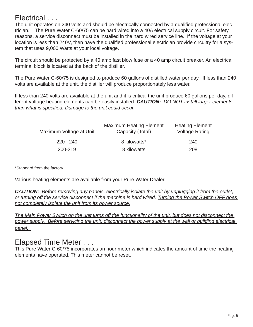### Electrical . . .

The unit operates on 240 volts and should be electrically connected by a qualified professional electrician. The Pure Water C-60/75 can be hard wired into a 40A electrical supply circuit. For safety reasons, a service disconnect must be installed in the hard wired service line. If the voltage at your location is less than 240V, then have the qualified professional electrician provide circuitry for a system that uses 9,000 Watts at your local voltage.

The circuit should be protected by a 40 amp fast blow fuse or a 40 amp circuit breaker. An electrical terminal block is located at the back of the distiller.

The Pure Water C-60/75 is designed to produce 60 gallons of distilled water per day. If less than 240 volts are available at the unit, the distiller will produce proportionately less water.

If less than 240 volts are available at the unit and it is critical the unit produce 60 gallons per day, different voltage heating elements can be easily installed. *CAUTION: DO NOT install larger elements than what is specified. Damage to the unit could occur.* 

| <b>Maximum Voltage at Unit</b> | <b>Maximum Heating Element</b><br><b>Capacity (Total)</b> | <b>Heating Element</b><br><b>Voltage Rating</b> |
|--------------------------------|-----------------------------------------------------------|-------------------------------------------------|
| $220 - 240$                    | 8 kilowatts*                                              | 240                                             |
| 200-219                        | 8 kilowatts                                               | 208                                             |

\*Standard from the factory.

Various heating elements are available from your Pure Water Dealer.

*CAUTION: Before removing any panels, electrically isolate the unit by unplugging it from the outlet, or turning off the service disconnect if the machine is hard wired. Turning the Power Switch OFF does not completely isolate the unit from its power source.*

*The Main Power Switch on the unit turns off the functionality of the unit, but does not disconnect the*  power supply. Before servicing the unit, disconnect the power supply at the wall or building electrical *panel.* 

### Elapsed Time Meter . . .

This Pure Water C-60/75 incorporates an hour meter which indicates the amount of time the heating elements have operated. This meter cannot be reset.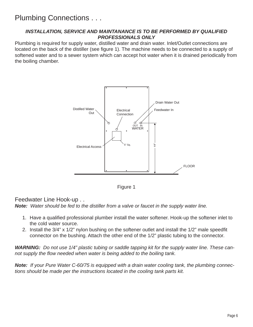#### *INSTALLATION, SERVICE AND MAINTANANCE IS TO BE PERFORMED BY QUALIFIED PROFESSIONALS ONLY*

Plumbing is required for supply water, distilled water and drain water. Inlet/Outlet connections are located on the back of the distiller (see figure 1). The machine needs to be connected to a supply of softened water and to a sewer system which can accept hot water when it is drained periodically from the boiling chamber.





Feedwater Line Hook-up . . *Note: Water should be fed to the distiller from a valve or faucet in the supply water line.* 

- 1. Have a qualified professional plumber install the water softener. Hook-up the softener inlet to the cold water source.
- 2. Install the 3/4" x 1/2" nylon bushing on the softener outlet and install the 1/2" male speedfit connector on the bushing. Attach the other end of the 1/2" plastic tubing to the connector.

*WARNING: Do not use 1/4" plastic tubing or saddle tapping kit for the supply water line. These cannot supply the fl ow needed when water is being added to the boiling tank.*

*Note: If your Pure Water C-60/75 is equipped with a drain water cooling tank, the plumbing connections should be made per the instructions located in the cooling tank parts kit.*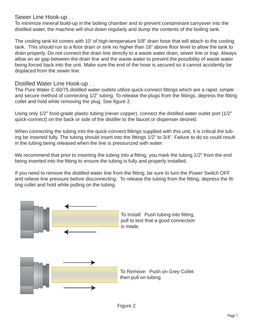Sewer Line Hook-up . .

To minimize mineral build-up in the boiling chamber and to prevent contaminant carryover into the distilled water, the machine will shut down regularly and dump the contents of the boiling tank.

The cooling tank kit comes with 10' of high-temperature 5/8" drain hose that will attach to the cooling tank. This should run to a floor drain or sink no higher than 18" above floor level to allow the tank to drain properly. Do not connect the drain line directly to a waste water drain, sewer line or trap. Always allow an air gap between the drain line and the waste water to prevent the possibility of waste water being forced back into the unit. Make sure the end of the hose is secured so it cannot accidently be displaced from the sewer line.

Distilled Water Line Hook-up . .

The Pure Water C-60/75 distilled water outlets utilize quick-connect fittings which are a rapid, simple and secure method of connecting 1/2" tubing. To release the plugs from the fittings, depress the fitting collet and hold while removing the plug. See figure 2.

Using only 1/2" food-grade plastic tubing (never copper), connect the distilled water outlet port (1/2" quick-connect) on the back or side of the distiller to the faucet or dispenser desired.

When connecting the tubing into the quick-connect fittings supplied with this unit, it is critical the tubing be inserted fully. The tubing should insert into the fittings 1/2" to 3/4". Failure to do so could result in the tubing being released when the line is pressurized with water.

We recommend that prior to inserting the tubing into a fitting, you mark the tubing 1/2" from the end being inserted into the fitting to ensure the tubing is fully and properly installed.

If you need to remove the distilled water line from the fitting, be sure to turn the Power Switch OFF and relieve line pressure before disconnecting. To release the tubing from the fitting, depress the fitting collet and hold while pulling on the tubing.

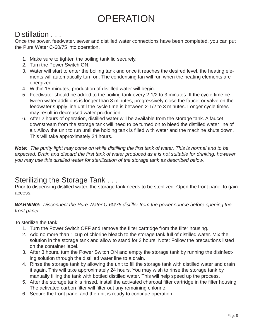# **OPERATION**

### Distillation . . .

Once the power, feedwater, sewer and distilled water connections have been completed, you can put the Pure Water C-60/75 into operation.

- 1. Make sure to tighten the boiling tank lid securely.
- 2. Turn the Power Switch ON.
- 3. Water will start to enter the boiling tank and once it reaches the desired level, the heating elements will automatically turn on. The condensing fan will run when the heating elements are energized.
- 4. Within 15 minutes, production of distilled water will begin.
- 5. Feedwater should be added to the boiling tank every 2-1/2 to 3 minutes. If the cycle time between water additions is longer than 3 minutes, progressively close the faucet or valve on the feedwater supply line until the cycle time is between 2-1/2 to 3 minutes. Longer cycle times may result in decreased water production.
- 6. After 2 hours of operation, distilled water will be available from the storage tank. A faucet downstream from the storage tank will need to be turned on to bleed the distilled water line of air. Allow the unit to run until the holding tank is filled with water and the machine shuts down. This will take approximately 24 hours.

*Note: The purity light may come on while distilling the fi rst tank of water. This is normal and to be*  expected. Drain and discard the first tank of water produced as it is not suitable for drinking, however *you may use this distilled water for sterilization of the storage tank as described below.*

## Sterilizing the Storage Tank . . .

Prior to dispensing distilled water, the storage tank needs to be sterilized. Open the front panel to gain access.

*WARNING: Disconnect the Pure Water C-60/75 distiller from the power source before opening the front panel.*

To sterilize the tank:

- 1. Turn the Power Switch OFF and remove the filter cartridge from the filter housing.
- 2. Add no more than 1 cup of chlorine bleach to the storage tank full of distilled water. Mix the solution in the storage tank and allow to stand for 3 hours. Note: Follow the precautions listed on the container label.
- 3. After 3 hours, turn the Power Switch ON and empty the storage tank by running the disinfecting solution through the distilled water line to a drain.
- 4. Rinse the storage tank by allowing the unit to fill the storage tank with distilled water and drain it again. This will take approximately 24 hours. You may wish to rinse the storage tank by manually filling the tank with bottled distilled water. This will help speed up the process.
- 5. After the storage tank is rinsed, install the activated charcoal filter cartridge in the filter housing. The activated carbon filter will filter out any remaining chlorine.
- 6. Secure the front panel and the unit is ready to continue operation.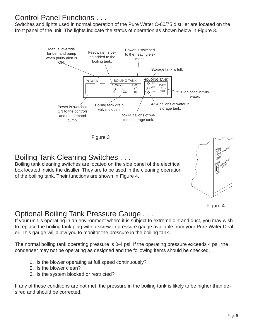### Control Panel Functions . . .

Switches and lights used in normal operation of the Pure Water C-60/75 distiller are located on the front panel of the unit. The lights indicate the status of operation as shown below in Figure 3.



Figure 3

### Boiling Tank Cleaning Switches . . .

Boiling tank cleaning switches are located on the side panel of the electrical box located inside the distiller. They are to be used in the cleaning operation of the boiling tank. Their functions are shown in Figure 4.





### Optional Boiling Tank Pressure Gauge . . .

If your unit is operating in an environment where it is subject to extreme dirt and dust, you may wish to replace the boiling tank plug with a screw-in pressure gauge available from your Pure Water Dealer. This gauge will allow you to monitor the pressure in the boiling tank.

The normal boiling tank operating pressure is 0-4 psi. If the operating pressure exceeds 4 psi, the condenser may not be operating as designed and the following items should be checked.

- 1. Is the blower operating at full speed continuously?
- 2. Is the blower clean?
- 3. Is the system blocked or restricted?

If any of these conditions are not met, the pressure in the boiling tank is likely to be higher than desired and should be corrected.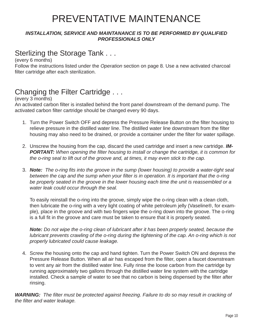# PREVENTATIVE MAINTENANCE

#### **INSTALLATION, SERVICE AND MAINTANANCE IS TO BE PERFORMED BY QUALIFIED** *PROFESSIONALS ONLY*

### Sterlizing the Storage Tank . . .

(every 6 months)

Follow the instructions listed under the *Operation* section on page 8*.* Use a new activated charcoal filter cartridge after each sterilization.

### Changing the Filter Cartridge . . .

(every 3 months)

An activated carbon filter is installed behind the front panel downstream of the demand pump. The activated carbon filter cartridge should be changed every 90 days.

- 1. Turn the Power Switch OFF and depress the Pressure Release Button on the filter housing to relieve pressure in the distilled water line. The distilled water line downstream from the filter housing may also need to be drained, or provide a container under the filter for water spillage.
- 2. Unscrew the housing from the cap, discard the used cartridge and insert a new cartridge. *IM-PORTANT: When opening the fi lter housing to install or change the cartridge, it is common for the o-ring seal to lift out of the groove and, at times, it may even stick to the cap.*
- 3. **Note:** The o-ring fits into the groove in the sump (lower housing) to provide a water-tight seal *between the cap and the sump when your filter is in operation. It is important that the o-ring be properly seated in the groove in the lower housing each time the unit is reassembled or a water leak could occur through the seal.*

 To easily reinstall the o-ring into the groove, simply wipe the o-ring clean with a clean cloth, then lubricate the o-ring with a very light coating of white petroleum jelly (Vaseline®, for example), place in the groove and with two fingers wipe the o-ring down into the groove. The o-ring is a full fit in the groove and care must be taken to ensure that it is properly seated.

*Note: Do not wipe the o-ring clean of lubricant after it has been properly seated, because the lubricant prevents crawling of the o-ring during the tightening of the cap. An o-ring which is not properly lubricated could cause leakage.*

4. Screw the housing onto the cap and hand tighten. Turn the Power Switch ON and depress the Pressure Release Button. When all air has escaped from the filter, open a faucet downstream to vent any air from the distilled water line. Fully rinse the loose carbon from the cartridge by running approximately two gallons through the distilled water line system with the cartridge installed. Check a sample of water to see that no carbon is being dispensed by the filter after rinsing.

**WARNING:** The filter must be protected against freezing. Failure to do so may result in cracking of *the fi lter and water leakage.*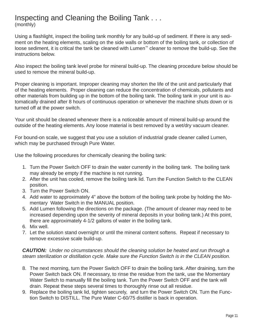# Inspecting and Cleaning the Boiling Tank . . .

(monthly)

Using a flashlight, inspect the boiling tank monthly for any build-up of sediment. If there is any sediment on the heating elements, scaling on the side walls or bottom of the boiling tank, or collection of loose sediment, it is critical the tank be cleaned with Lumen™ cleaner to remove the build-up. See the instructions below.

Also inspect the boiling tank level probe for mineral build-up. The cleaning procedure below should be used to remove the mineral build-up.

Proper cleaning is important. Improper cleaning may shorten the life of the unit and particularly that of the heating elements. Proper cleaning can reduce the concentration of chemicals, pollutants and other materials from building up in the bottom of the boiling tank. The boiling tank in your unit is automatically drained after 8 hours of continuous operation or whenever the machine shuts down or is turned off at the power switch.

Your unit should be cleaned whenever there is a noticeable amount of mineral build-up around the outside of the heating elements. Any loose material is best removed by a wet/dry vacuum cleaner.

For bound-on scale, we suggest that you use a solution of industrial grade cleaner called Lumen, which may be purchased through Pure Water.

Use the following procedures for chemically cleaning the boiling tank:

- 1. Turn the Power Switch OFF to drain the water currently in the boiling tank. The boiling tank may already be empty if the machine is not running.
- 2. After the unit has cooled, remove the boiling tank lid. Turn the Function Switch to the CLEAN position.
- 3. Turn the Power Switch ON.
- 4. Add water to approximately 4" above the bottom of the boiling tank probe by holding the Momentary Water Switch in the MANUAL position.
- 5. Add Lumen following the directions on the package. (The amount of cleaner may need to be increased depending upon the severity of mineral deposits in your boiling tank.) At this point, there are approximately 4-1/2 gallons of water in the boiling tank.
- 6. Mix well.
- 7. Let the solution stand overnight or until the mineral content softens. Repeat if necessary to remove excessive scale build-up.

#### *CAUTION: Under no circumstances should the cleaning solution be heated and run through a steam sterilization or distillation cycle. Make sure the Function Switch is in the CLEAN position.*

- 8. The next morning, turn the Power Switch OFF to drain the boiling tank. After draining, turn the Power Switch back ON. If necessary, to rinse the residue from the tank, use the Momentary Water Switch to manually fill the boiling tank. Turn the Power Switch OFF and the tank will drain. Repeat these steps several times to thoroughly rinse out all residue.
- 9. Replace the boiling tank lid, tighten securely, and turn the Power Switch ON. Turn the Function Switch to DISTILL. The Pure Water C-60/75 distiller is back in operation.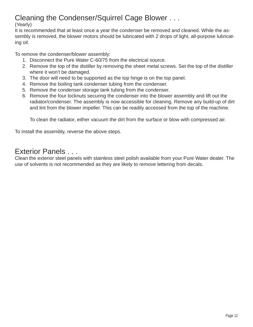### Cleaning the Condenser/Squirrel Cage Blower . . .

#### (Yearly)

It is recommended that at least once a year the condenser be removed and cleaned. While the assembly is removed, the blower motors should be lubricated with 2 drops of light, all-purpose lubricating oil.

To remove the condenser/blower assembly:

- 1. Disconnect the Pure Water C-60/75 from the electrical source.
- 2. Remove the top of the distiller by removing the sheet metal screws. Set the top of the distiller where it won't be damaged.
- 3. The door will need to be supported as the top hinge is on the top panel.
- 4. Remove the boiling tank condenser tubing from the condenser.
- 5. Remove the condenser storage tank tubing from the condenser.
- 6. Remove the four locknuts securing the condenser into the blower assembly and lift out the radiator/condenser. The assembly is now accessible for cleaning. Remove any build-up of dirt and lint from the blower impeller. This can be readily accessed from the top of the machine.

To clean the radiator, either vacuum the dirt from the surface or blow with compressed air.

To install the assembly, reverse the above steps.

## Exterior Panels . . .

Clean the exterior steel panels with stainless steel polish available from your Pure Water dealer. The use of solvents is not recommended as they are likely to remove lettering from decals.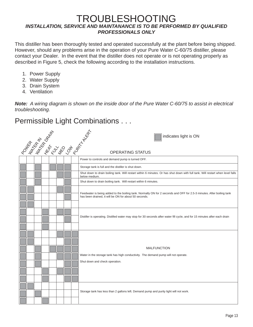### TROUBLESHOOTING *INSTALLATION, SERVICE AND MAINTANANCE IS TO BE PERFORMED BY QUALIFIED PROFESSIONALS ONLY*

This distiller has been thoroughly tested and operated successfully at the plant before being shipped. However, should any problems arise in the operation of your Pure Water C-60/75 distiller, please contact your Dealer. In the event that the distiller does not operate or is not operating properly as described in Figure 5, check the following according to the installation instructions.

- 1. Power Supply
- 2. Water Supply
- 3. Drain System
- 4. Ventilation

*Note: A wiring diagram is shown on the inside door of the Pure Water C-60/75 to assist in electrical troubleshooting.*

## Permissible Light Combinations . . .

|  |  |  |  | PO WE AS AS AND ON BY A NEW<br>indicates light is ON                                                                                                                           |  |  |  |
|--|--|--|--|--------------------------------------------------------------------------------------------------------------------------------------------------------------------------------|--|--|--|
|  |  |  |  | <b>OPERATING STATUS</b>                                                                                                                                                        |  |  |  |
|  |  |  |  | Power to controls and demand pump is turned OFF.                                                                                                                               |  |  |  |
|  |  |  |  | Storage tank is full and the distiller is shut down.                                                                                                                           |  |  |  |
|  |  |  |  | Shut down to drain boiling tank. Will restart within 6 minutes. Or has shut down with full tank. Will restart when level falls<br>below medium.                                |  |  |  |
|  |  |  |  | Shut down to drain boiling tank. Will restart within 6 minutes.                                                                                                                |  |  |  |
|  |  |  |  | Feedwater is being added to the boiling tank. Normally ON for 2 seconds and OFF for 2.5-3 minutes. After boiling tank<br>has been drained, it will be ON for about 50 seconds. |  |  |  |
|  |  |  |  | Distiller is operating. Distilled water may stop for 30 seconds after water fill cycle, and for 15 minutes after each drain                                                    |  |  |  |
|  |  |  |  | <b>MALFUNCTION</b><br>Water in the storage tank has high conductivity. The demand pump will not operate.<br>Shut down and check operation.                                     |  |  |  |
|  |  |  |  | Storage tank has less than 2 gallons left. Demand pump and purity light will not work.                                                                                         |  |  |  |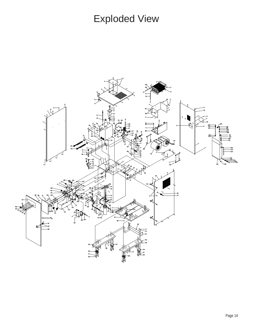# Exploded View

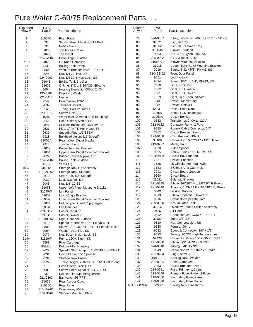# Pure Water C-60/75 Replacement Parts. . .

| Exploded<br>View # | P&S<br>Part#     | <b>Part Description</b>                                    | Exploded<br>View # | P&S<br>Part #     | <b>Part Description</b>                                        |
|--------------------|------------------|------------------------------------------------------------|--------------------|-------------------|----------------------------------------------------------------|
| 1                  | 31057C           | <b>Right Panel</b>                                         | 79                 | 324-0037          | Tubing, Silicone, FG, 7/16"OD x 5/16"ID x 14"Long              |
| $\overline{2}$     | 637              | Screw, Sheet Metal, SS-12 Pack                             | 80                 | 31021             | <b>Plenum Tray</b>                                             |
| 3                  | 638              | Nut-12 Pack                                                | 81                 | 31062             | Plenum, 2 Blower, Tray                                         |
| 4                  | 31030            | <b>Top Access Cover</b>                                    | 82                 | 31503A            | Blower, Studded                                                |
| 5                  | 31029            | <b>Top Panel</b>                                           | 83                 | 9003              | Nut, 8-32, Nylon Lock, SS                                      |
| 6                  | 31571A-02        | Door Hinge Studded                                         | 84                 | 225-0002          | PVC Washer, 5/16"                                              |
| $7 - 13$           | 406              | Lid Knob Complete                                          | 85                 | 31084-01          | <b>Blower Mounting Bracket</b>                                 |
| 14                 | 7235             | <b>Boiling Tank Probe</b>                                  | 86                 | 31015             | Upper Right Panel Mounting Bracket                             |
| 15                 | 9554             | Vacuum Breaker Valve, 1/2"NPT                              | 87<br>88           | 9019<br>31046E-02 | Screw, 8-32 x 5/8", RHMS, SS<br><b>Front Door Panel</b>        |
| 16<br>17           | 9045<br>224-0003 | Nut, 1/4-20, Hex, SS                                       | 89                 | 9651              | Locking Latch                                                  |
| 18                 | 31041            | Nut, 1/4-20, Nylon Lock, SS<br><b>Boiling Tank Bracket</b> | 90                 | 9034              | Screw, 10-24 x 1/4", RHMS, SS                                  |
| 19                 | 52605            | O-Ring, 1"ID x 1-3/8"OD, Silicone                          | 91                 | 7080              | Light, LED, Red                                                |
| 20                 | 9654             | Heating Element, 4000W, 240V                               | 92                 | 7082              | Light, LED, Yellow                                             |
| 21                 | 130-0182         | Drip Pan, Welded                                           | 93                 | 7081              | Light, LED, Green                                              |
| 22                 | 221-0417         | Nipple                                                     | 94                 | 7079              | Light, Red Neon Indicator                                      |
| 23                 | 7247             | Drain Valve, 120V                                          | 95                 | 643               | Switch, Momentary                                              |
| 24                 | 7032             | <b>Terminal Socket</b>                                     | 96                 | 642               | Switch, ON/OFF                                                 |
| 25                 | 9563             | Tubing, Parflex, 1/2"OD                                    | 97                 | 6403T             | Decal, Front Door                                              |
| 26                 | 223-0015         | Screw, Hex, SS                                             | 98                 | 7035B             | Speed Nut, Rectangular                                         |
| 27                 | 31591A           | Water Inlet Solenoid Kit with Fittings                     | 99                 | 31061A            | Circuit Box Lid                                                |
| 28                 | 95400            | Hose Clamp, Size 6, SS                                     | 100                | 9652              | Transforner, 240V to 120V                                      |
| 29                 | 9541             | Silicone Tubing, 5/8"OD x 3/8"ID                           | 101                | 212-0122          | Contactor Relay, 2-Pole                                        |
| 30                 | 9521             | Plug, 1/4"NPT, Hex Head, SS                                | 102                | 9830              | Romex Cable Connector, 3/4"                                    |
| 31                 | 9630             | Speedfit Plug, 1/2"STEM                                    | 103                | 7252              | Circuit Breaker, 3 Amp                                         |
| 32                 | 9611             | Bulkhead Union, 1/2" Speedfit                              | 104                | 229-0158          | Cord Restraint, Black                                          |
| 33                 | 31055A           | <b>Rear Water Outlet Bracket</b>                           | 105                | 95108             | Connector, 1/2"COMP x FPT, Jaco                                |
| 34                 | 7218             | <b>Junction Block</b>                                      | 106                | 219-0227          | Meter, Hour                                                    |
| 35                 | 31012            | <b>Power Terminal Bracket</b>                              | 107                | 8070              | Nylon Spacer                                                   |
| 36                 | 31054            | Upper Rear Panel Mounting Bracket                          | 108                | 9095              | Screw, 8-32 x 1/2", RHMS, SS                                   |
| 37                 | 9822             | Bushed Chase Nipple, 1/2"                                  | 109                | 31516W-02         | Circuit Box Studded                                            |
| 38                 | 31570A-02        | <b>Boiling Tank Studded</b>                                | 110                | 7221              | Switch, Function                                               |
| 39                 | 411A             | Vent Plug                                                  | 111                | 7135              | 15-Circuit Amp Plug, Nylon                                     |
| 40-43              | 31511A           | Storage Tank Lid Assembly                                  | 112<br>113         | 7133              | 3-Circuit Amp Cap, Nylon                                       |
| 44                 | 31582C-02        | Storage Tank, Studded                                      | 114                | 7241<br>9660      | <b>Circuit Board Support</b><br><b>Circuit Board</b>           |
| 45<br>46           | 9619<br>9032     | Union Tee, 1/2" Speedfit<br>Lock Washer, 1/4"              | 115                | 31081             | Solenoid Bracket                                               |
| 47                 | 9045             | Nut, 1/4"-20 SS                                            | 116                | 221-0345          | Elbow, 3/8"NPT M x 3/8"NPT F, Brass                            |
| 48                 | 31053            | Upper Left Panel Mounting Bracket                          | 117                | 221-0346          | Adaptor, 1/2"NPT F x 3/8"NPT M, Brass                          |
| 49                 | 31045W           | Left Panel                                                 | 118                | 6049              | Gasket, Rubber                                                 |
| 50                 | 31007            | Latch Angle Bracket                                        | 119                | 9613              | Elbow, Speedfit, Elbow 1/2"                                    |
| 51                 | 31052C           | Lower Rear Panel Mounting Bracket                          | 120                | 9616              | Connector, Speedfit, 1/2"                                      |
| 52                 | 09054            | Nut, J-Type Speed Clip (Large)                             | 121                | 229-0620          | Accumulator, Tank                                              |
| 53                 | 31051C           | Left Channel                                               | 123                | 32516             | Overflow Shutoff Switch Assembly                               |
| 54                 | 229-0117         | Castor, Rigid, 3'                                          | 124                | 9126              | Air Filter                                                     |
| 55                 | 229-0116         | Castor, Swivel, 3"                                         | 125                | 9542              | Connector, 3/8"COMP x 1/4"FPT                                  |
| 56                 | 31578C-02        | <b>Right Channel Studded</b>                               | 126                | 31129             | Tube, 3/8" SS                                                  |
| 57                 | 9610             | Speedfit Connector, 1/2"T x 3/8"MPT                        | 127                | 9510              | Nut, Compression, SS                                           |
| 58                 | 9583             | Elbow, 1/2"COMP x 1/2"NPT Female, Nylon                    | 128                | 9530              | Ferrule, Comp                                                  |
| 59                 | 9094             | Washer, #10, Flat, SS                                      | 129                | 9632              | Speedfit Connector, 3/8" x 1/2"                                |
| 60                 | 9070             | Nut, 10-24, Nylon Lock, SS                                 | 130                | 9533              | Tubing, 1/2"OD High Temperature                                |
| 61-64              | 31519W           | Pump, 120V, 3 gpm Kit                                      | 131<br>132         | 52423<br>221-0088 | Connector, Brass 1/2" COMP x MPT<br>Elbow, 5/8" BARB x 1/2"MPT |
| 65                 | 9589<br>9578-1   | <b>Filter Cartridge</b><br><b>Deluxe Filter Housing</b>    | 133                | 324-0048          | Tubing, 5/8"ID x 3/4                                           |
| 66<br>67           | 9629             | Speedfit Stem Adaptor, 1/2"STEM x 3/8"MPT                  | 134                | 9549              | Connector, 3/8" COMP x 1/2"MPT                                 |
| 68                 | 9631             | Union Elbow, 1/2" Speedfit                                 | 135                | 221-0204          | Plug, 1/2"MPT                                                  |
| 69                 | 7234             | <b>Storage Tank Probe</b>                                  | 136                | 31985A-01         | Cooling Tank, Welded                                           |
| 70                 | 9527             | Tubing, Nygal, 7/16"OD x 5/16"ID x 38"Long                 | 137                | 229-0114          | Hose Clamp 3/4"                                                |
| 71                 | 9516             | Hose Clamp, Size 4, SS                                     | 138                | 7253              | Circuit Breaker, 2 Amp                                         |
| 72                 | 9008             | Screw, Sheet Metal, #10 x 5/8", SS                         | 139                | 219-0051          | Fuse, Primary, 1.5 Amp                                         |
| 73                 | 532              | Deluxe Filter Mounting Bracket                             | 140                | 219-0049          | Primary Fuse Holder, 2 Fuse                                    |
| 74                 | 221-0362         | Ball Valve, 3/8"FPT                                        | 141                | 219-0050          | Secondary Fuse, 2 Amp                                          |
| 75                 | 31031            | Rear Access Cover                                          | 142                | 229-0076          | Secondary Fuse Holder                                          |
| 76                 | 31056C           | Rear Panel                                                 | NOT SHOWN          | 07-2227           | <b>Boiling Tank Insulations</b>                                |
| 77                 | 31569A-01        | Condenser, Welded                                          |                    |                   |                                                                |
| 78                 | 31073B-02        | <b>Studded Mounting Plate</b>                              |                    |                   |                                                                |
|                    |                  |                                                            |                    |                   |                                                                |
|                    |                  |                                                            |                    |                   |                                                                |
|                    |                  |                                                            |                    |                   |                                                                |